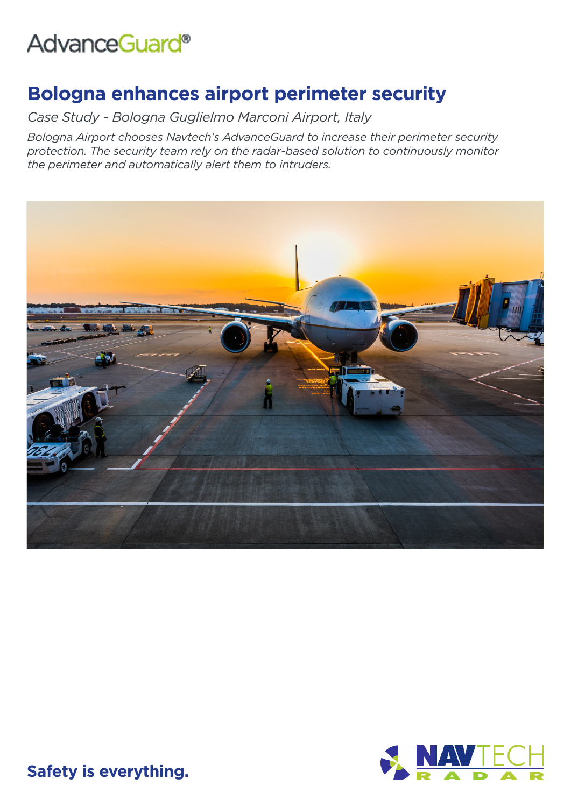# AdvanceGuard®

## **Bologna enhances airport perimeter security**

*Case Study - Bologna Guglielmo Marconi Airport, Italy*

*Bologna Airport chooses Navtech's AdvanceGuard to increase their perimeter security protection. The security team rely on the radar-based solution to continuously monitor the perimeter and automatically alert them to intruders.*





**Safety is everything.**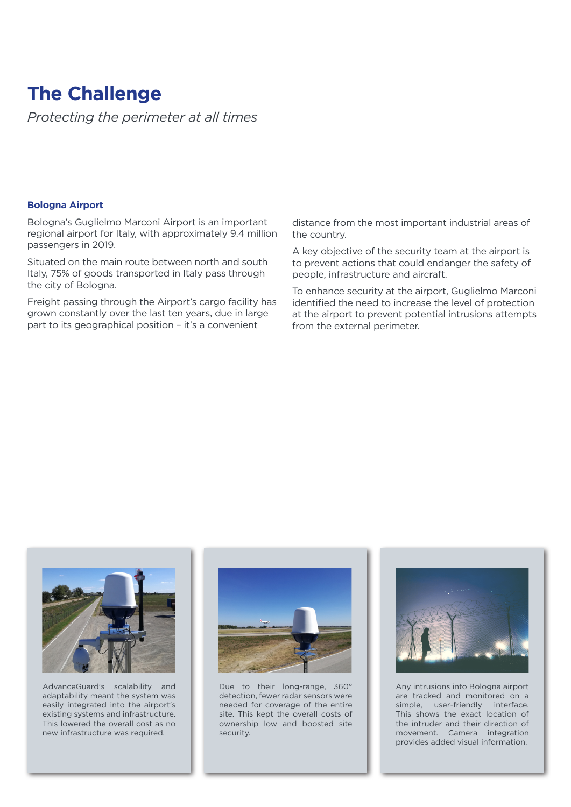### **The Challenge**

*Protecting the perimeter at all times*

#### **Bologna Airport**

Bologna's Guglielmo Marconi Airport is an important regional airport for Italy, with approximately 9.4 million passengers in 2019.

Situated on the main route between north and south Italy, 75% of goods transported in Italy pass through the city of Bologna.

Freight passing through the Airport's cargo facility has grown constantly over the last ten years, due in large part to its geographical position – it's a convenient

distance from the most important industrial areas of the country.

A key objective of the security team at the airport is to prevent actions that could endanger the safety of people, infrastructure and aircraft.

To enhance security at the airport, Guglielmo Marconi identified the need to increase the level of protection at the airport to prevent potential intrusions attempts from the external perimeter.



AdvanceGuard's scalability and adaptability meant the system was easily integrated into the airport's existing systems and infrastructure. This lowered the overall cost as no new infrastructure was required.



Due to their long-range, 360° detection, fewer radar sensors were needed for coverage of the entire site. This kept the overall costs of ownership low and boosted site security.



Any intrusions into Bologna airport are tracked and monitored on a simple, user-friendly interface. This shows the exact location of the intruder and their direction of movement. Camera integration provides added visual information.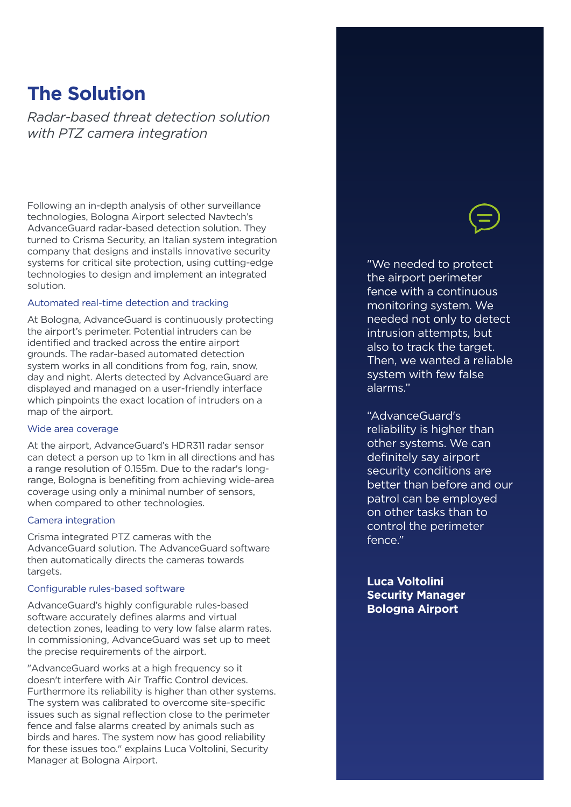### **The Solution**

*Radar-based threat detection solution with PTZ camera integration* 

Following an in-depth analysis of other surveillance technologies, Bologna Airport selected Navtech's AdvanceGuard radar-based detection solution. They turned to Crisma Security, an Italian system integration company that designs and installs innovative security systems for critical site protection, using cutting-edge technologies to design and implement an integrated solution.

#### Automated real-time detection and tracking

At Bologna, AdvanceGuard is continuously protecting the airport's perimeter. Potential intruders can be identified and tracked across the entire airport grounds. The radar-based automated detection system works in all conditions from fog, rain, snow, day and night. Alerts detected by AdvanceGuard are displayed and managed on a user-friendly interface which pinpoints the exact location of intruders on a map of the airport.

#### Wide area coverage

At the airport, AdvanceGuard's HDR311 radar sensor can detect a person up to 1km in all directions and has a range resolution of 0.155m. Due to the radar's longrange, Bologna is benefiting from achieving wide-area coverage using only a minimal number of sensors, when compared to other technologies.

#### Camera integration

Crisma integrated PTZ cameras with the AdvanceGuard solution. The AdvanceGuard software then automatically directs the cameras towards targets.

#### Configurable rules-based software

AdvanceGuard's highly configurable rules-based software accurately defines alarms and virtual detection zones, leading to very low false alarm rates. In commissioning, AdvanceGuard was set up to meet the precise requirements of the airport.

"AdvanceGuard works at a high frequency so it doesn't interfere with Air Traffic Control devices. Furthermore its reliability is higher than other systems. The system was calibrated to overcome site-specific issues such as signal reflection close to the perimeter fence and false alarms created by animals such as birds and hares. The system now has good reliability for these issues too." explains Luca Voltolini, Security Manager at Bologna Airport.



"We needed to protect the airport perimeter fence with a continuous monitoring system. We needed not only to detect intrusion attempts, but also to track the target. Then, we wanted a reliable system with few false alarms."

"AdvanceGuard's reliability is higher than other systems. We can definitely say airport security conditions are better than before and our patrol can be employed on other tasks than to control the perimeter fence."

**Luca Voltolini Security Manager Bologna Airport**